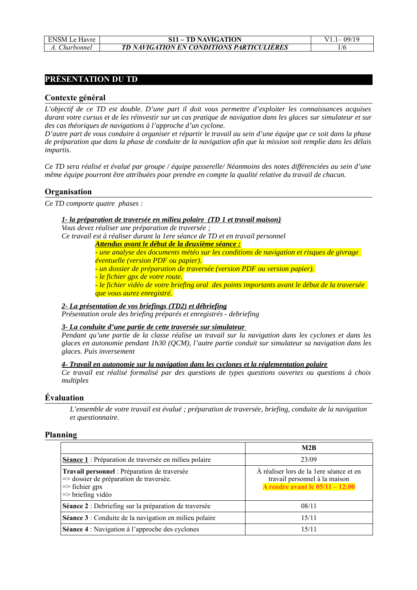# **PRÉSENTATION DU TD**

## **Contexte général**

*L'objectif de ce TD est double. D'une part il doit vous permettre d'exploiter les connaissances acquises durant votre cursus et de les réinvestir sur un cas pratique de navigation dans les glaces sur simulateur et sur des cas théoriques de navigations à l'approche d'un cyclone.*

*D'autre part de vous conduire à organiser et répartir le travail au sein d'une équipe que ce soit dans la phase de préparation que dans la phase de conduite de la navigation afin que la mission soit remplie dans les délais impartis.*

*Ce TD sera réalisé et évalué par groupe / équipe passerelle/ Néanmoins des notes différenciées au sein d'une même équipe pourront être attribuées pour prendre en compte la qualité relative du travail de chacun.*

## **Organisation**

*Ce TD comporte quatre phases :* 

### *1- la préparation de traversée en milieu polaire (TD 1 et travail maison)*

*Vous devez réaliser une préparation de traversée ;*

*Ce travail est à réaliser durant la 1ere séance de TD et en travail personnel*

*Attendus avant le début de la deuxième séance :*

*- une analyse des documents météo sur les conditions de navigation et risques de givrage éventuelle (version PDF ou papier).*

*- un dossier de préparation de traversée (version PDF ou version papier).*

*- le fichier gpx de votre route.*

*- le fichier vidéo de votre briefing oral des points importants avant le début de la traversée que vous aurez enregistré.*

## *2- La présentation de vos briefings (TD2) et débriefing*

*Présentation orale des briefing préparés et enregistrés - debriefing*

## *3- La conduite d'une partie de cette traversée sur simulateur*

*Pendant qu'une partie de la classe réalise un travail sur la navigation dans les cyclones et dans les glaces en autonomie pendant 1h30 (QCM), l'autre partie conduit sur simulateur sa navigation dans les glaces. Puis inversement*

### *4- Travail en autonomie sur la navigation dans les cyclones et la réglementation polaire*

*Ce travail est réalisé formalisé par des questions de types questions ouvertes ou questions à choix multiples*

## **Évaluation**

*L'ensemble de votre travail est évalué ; préparation de traversée, briefing, conduite de la navigation et questionnaire.*

### **Planning**

|                                                                                                                                                      | M2B                                                                                                           |
|------------------------------------------------------------------------------------------------------------------------------------------------------|---------------------------------------------------------------------------------------------------------------|
| Séance 1: Préparation de traversée en milieu polaire                                                                                                 | 23/09                                                                                                         |
| Travail personnel : Préparation de traversée<br>=> dossier de préparation de traversée.<br>$\Rightarrow$ fichier gpx<br>$\Rightarrow$ briefing vidéo | À réaliser lors de la 1ere séance et en<br>travail personnel à la maison<br>A rendre avant le $05/11 - 12:00$ |
| Séance 2 : Debriefing sur la préparation de traversée                                                                                                | 08/11                                                                                                         |
| Séance 3 : Conduite de la navigation en milieu polaire                                                                                               | 15/11                                                                                                         |
| <b>Séance 4</b> : Navigation à l'approche des cyclones                                                                                               | 15/11                                                                                                         |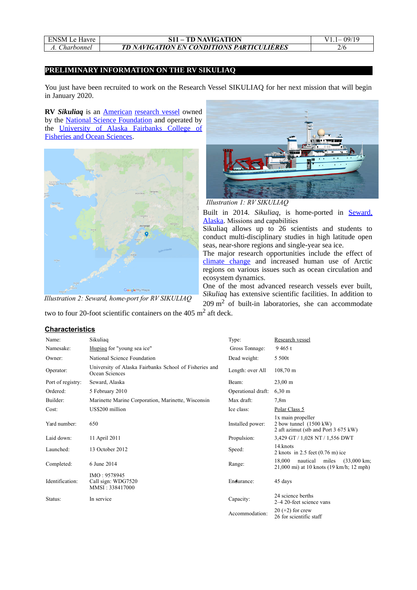| <b>ENSM</b> Le Havre |
|----------------------|
| <i>Charbonnel</i>    |

#### ENSM Le Havre **S11 – TD NAVIGATION** V1.1– 09/19 *A. Charbonnel TD NAVIGATION EN CONDITIONS PARTICULIÈRES* 2/6

### **PRELIMINARY INFORMATION ON THE RV SIKULIAQ**

You just have been recruited to work on the Research Vessel SIKULIAQ for her next mission that will begin in January 2020.

**RV** *Sikuliaq* is an [American](https://en.wikipedia.org/wiki/United_States) [research vessel](https://en.wikipedia.org/wiki/Research_vessel) owned by the [National Science Foundation](https://en.wikipedia.org/wiki/National_Science_Foundation) and operated by the [University of Alaska Fairbanks College of](https://en.wikipedia.org/w/index.php?title=University_of_Alaska_Fairbanks_College_of_Fisheries_and_Ocean_Sciences&action=edit&redlink=1) [Fisheries and Ocean Sciences.](https://en.wikipedia.org/w/index.php?title=University_of_Alaska_Fairbanks_College_of_Fisheries_and_Ocean_Sciences&action=edit&redlink=1)



*Illustration 2: Seward, home-port for RV SIKULIAQ*



*Illustration 1: RV SIKULIAQ*

Built in 2014. *Sikuliaq*, is home-ported in **Seward**, [Alaska.](https://en.wikipedia.org/wiki/Seward,_Alaska) Missions and capabilities

Sikuliaq allows up to 26 scientists and students to conduct multi-disciplinary studies in high latitude open seas, near-shore regions and single-year sea ice.

The major research opportunities include the effect of [climate change](https://en.wikipedia.org/wiki/Climate_change) and increased human use of Arctic regions on various issues such as ocean circulation and ecosystem dynamics.

One of the most advanced research vessels ever built, *Sikuliaq* has extensive scientific facilities. In addition to 209 m<sup>2</sup> of built-in laboratories, she can accommodate

two to four 20-foot scientific containers on the 405  $m^2$  aft deck.

### **Characteristics**

| Name:             | Sikuliaq                                                                 | Type:              | Research vessel                                                                                  |  |
|-------------------|--------------------------------------------------------------------------|--------------------|--------------------------------------------------------------------------------------------------|--|
| Namesake:         | Iñupiag for "young sea ice"                                              | Gross Tonnage:     | 9465t                                                                                            |  |
| Owner:            | National Science Foundation                                              | Dead weight:       | 5 500t                                                                                           |  |
| Operator:         | University of Alaska Fairbanks School of Fisheries and<br>Ocean Sciences | Length: over All   | $108,70 \; \mathrm{m}$                                                                           |  |
| Port of registry: | Seward, Alaska                                                           | Beam:              | $23,00 \; \text{m}$                                                                              |  |
| Ordered:          | 5 February 2010                                                          | Operational draft: | $6,30 \; \text{m}$                                                                               |  |
| Builder:          | Marinette Marine Corporation, Marinette, Wisconsin                       | Max draft:         | 7,8m                                                                                             |  |
| Cost:             | US\$200 million                                                          | Ice class:         | Polar Class 5                                                                                    |  |
| Yard number:      | 650                                                                      | Installed power:   | 1x main propeller<br>2 bow tunnel $(1500 \text{ kW})$<br>2 aft azimut (stb and Port 3 675 kW)    |  |
| Laid down:        | 11 April 2011                                                            | Propulsion:        | 3,429 GT / 1,028 NT / 1,556 DWT                                                                  |  |
| Launched:         | 13 October 2012                                                          | Speed:             | 14. knots<br>2 knots in $2.5$ feet $(0.76 \text{ m})$ ice                                        |  |
| Completed:        | 6 June 2014                                                              | Range:             | 18,000<br>nautical<br>miles<br>$(33,000 \text{ km})$<br>21,000 mi) at 10 knots (19 km/h; 12 mph) |  |
| Identification:   | IMO: 9578945<br>Call sign: WDG7520<br>MMSI: 338417000                    | Endurance:         | 45 days                                                                                          |  |
| Status:           | In service                                                               | Capacity:          | 24 science berths<br>2–4 20-feet science vans                                                    |  |
|                   |                                                                          | Accommodation:     | $20 (+2)$ for crew<br>26 for scientific staff                                                    |  |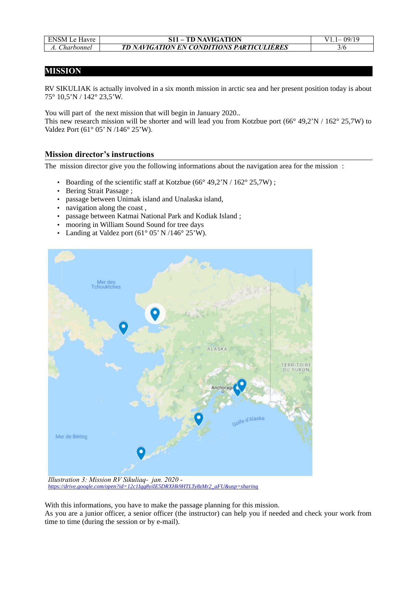| <b>ENSM Le Havre</b> |  |
|----------------------|--|
| A Charbonnel         |  |

# **MISSION**

RV SIKULIAK is actually involved in a six month mission in arctic sea and her present position today is about 75° 10,5'N / 142° 23,5'W.

You will part of the next mission that will begin in January 2020..

This new research mission will be shorter and will lead you from Kotzbue port (66° 49,2'N / 162° 25,7W) to Valdez Port (61° 05' N /146° 25'W).

# **Mission director's instructions**

The mission director give you the following informations about the navigation area for the mission :

- Boarding of the scientific staff at Kotzbue ( $66^{\circ}$  49,2'N /  $162^{\circ}$  25,7W);
- Bering Strait Passage ;
- passage between Unimak island and Unalaska island,
- navigation along the coast ,
- passage between Katmai National Park and Kodiak Island ;
- mooring in William Sound Sound for tree days
- Landing at Valdez port  $(61^{\circ} 05' N / 146^{\circ} 25' W)$ .



*Illustration 3: Mission RV Sikuliaq- jan. 2020 [https://drive.google.com/open?id=12c1Igg8yiIE5DRXHk9HTLTy8zMr2\\_aFU&usp=sharing](https://drive.google.com/open?id=12c1Igg8yiIE5DRXHk9HTLTy8zMr2_aFU&usp=sharing)*

With this informations, you have to make the passage planning for this mission.

As you are a junior officer, a senior officer (the instructor) can help you if needed and check your work from time to time (during the session or by e-mail).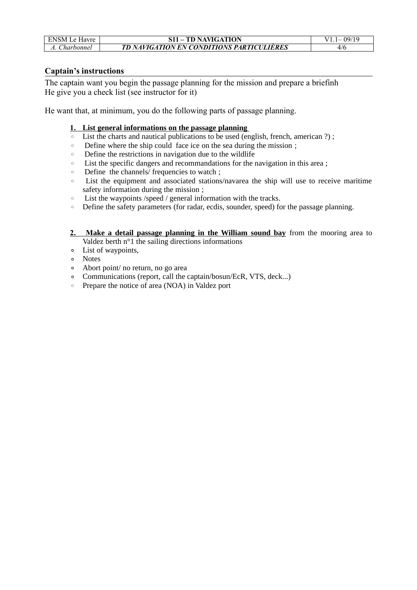| <b>ENSM Le Havre</b> | <b>S11 – TD NAVIGATION</b>                       | $V11 - 09/19$ |
|----------------------|--------------------------------------------------|---------------|
| A. Charbonnel        | <b>TD NAVIGATION EN CONDITIONS PARTICULIERES</b> | 4/6           |

# **Captain's instructions**

The captain want you begin the passage planning for the mission and prepare a briefinh He give you a check list (see instructor for it)

He want that, at minimum, you do the following parts of passage planning.

# **1. List general informations on the passage planning**

- List the charts and nautical publications to be used (english, french, american ?) ;
- Define where the ship could face ice on the sea during the mission ;
- Define the restrictions in navigation due to the wildlife
- List the specific dangers and recommandations for the navigation in this area ;
- Define the channels/ frequencies to watch ;
- List the equipment and associated stations/navarea the ship will use to receive maritime safety information during the mission ;
- List the waypoints /speed / general information with the tracks.
- Define the safety parameters (for radar, ecdis, sounder, speed) for the passage planning.
- **2. Make a detail passage planning in the William sound bay** from the mooring area to Valdez berth n°1 the sailing directions informations
- List of waypoints,
- Notes
- Abort point/ no return, no go area
- Communications (report, call the captain/bosun/EcR, VTS, deck...)
- Prepare the notice of area (NOA) in Valdez port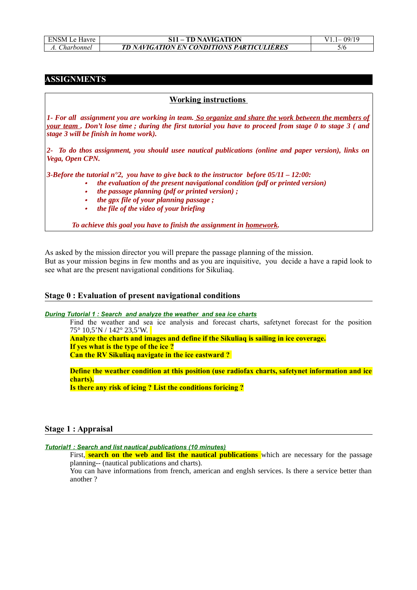| ENSM Le Havre | <b>S11 – TD NAVIGATION</b>                       | $V1 - 09/19$ |
|---------------|--------------------------------------------------|--------------|
| A. Charbonnel | <b>TD NAVIGATION EN CONDITIONS PARTICULIERES</b> |              |

## **ASSIGNMENTS**

### **Working instructions**

*1- For all assignment you are working in team. So organize and share the work between the members of your team . Don't lose time ; during the first tutorial you have to proceed from stage 0 to stage 3 ( and stage 3 will be finish in home work).*

*2- To do thos assignment, you should usee nautical publications (online and paper version), links on Vega, Open CPN.*

*3-Before the tutorial n°2, you have to give back to the instructor before 05/11 – 12:00:*

- *the evaluation of the present navigational condition (pdf or printed version)*
	- *the passage planning (pdf or printed version) ;*
	- •*the gpx file of your planning passage ;*
	- •*the file of the video of your briefing*

*To achieve this goal you have to finish the assignment in homework.*

As asked by the mission director you will prepare the passage planning of the mission. But as your mission begins in few months and as you are inquisitive, you decide a have a rapid look to see what are the present navigational conditions for Sikuliaq.

## **Stage 0 : Evaluation of present navigational conditions**

 *During Tutorial 1 : Search and analyze the weather and sea ice charts*

Find the weather and sea ice analysis and forecast charts, safetynet forecast for the position 75° 10,5'N / 142° 23,5'W.

**Analyze the charts and images and define if the Sikuliaq is sailing in ice coverage. If yes what is the type of the ice ? Can the RV Sikuliaq navigate in the ice eastward ?** 

**Define the weather condition at this position (use radiofax charts, safetynet information and ice charts).**

**Is there any risk of icing ? List the conditions foricing ?**

### **Stage 1 : Appraisal**

 *Tutorial1 : Search and list nautical publications (10 minutes)*

First, **search on the web and list the nautical publications** which are necessary for the passage planning-- (nautical publications and charts).

You can have informations from french, american and englsh services. Is there a service better than another ?